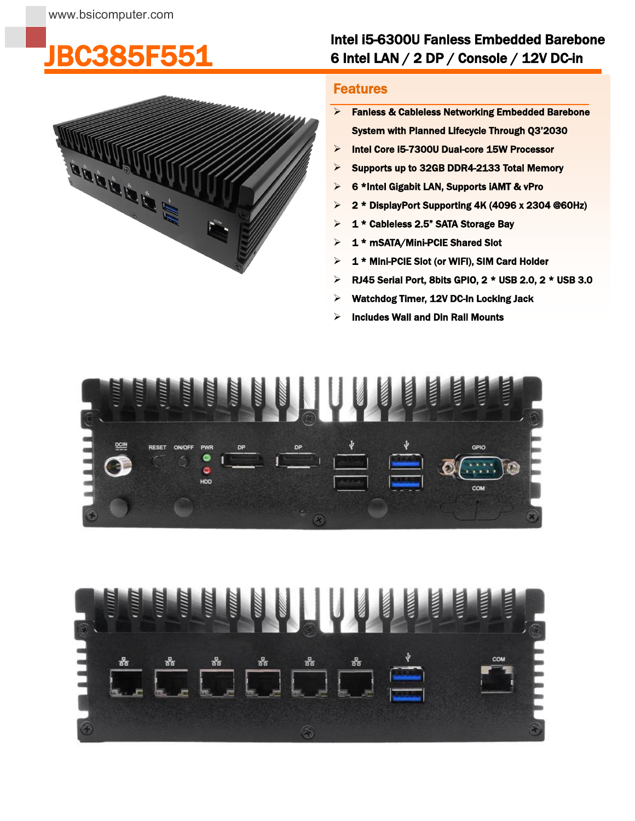## [JBC385F551](https://www.bsicomputer.com/products/jbc385f551-18697)



## Intel i5-6300U Fanless Embedded Barebone 6 Intel LAN / 2 DP / Console / 12V DC-in

## **Features**

I

- > Fanless & Cableless Networking Embedded Barebone System with Planned Lifecycle Through Q3'2030
- > Intel Core i5-7300U Dual-core 15W Processor
- $\triangleright$  Supports up to 32GB DDR4-2133 Total Memory
- 6 \*Intel Gigabit LAN, Supports iAMT & vPro
- $\geq 2$  \* DisplayPort Supporting 4K (4096 x 2304 @60Hz)
- > 1 \* Cableless 2.5" SATA Storage Bay
- $\geq 1$  \* mSATA/Mini-PCIE Shared Slot
- $> 1$  \* Mini-PCIE Slot (or WIFI), SIM Card Holder
- $\triangleright$  RJ45 Serial Port, 8bits GPIO, 2 \* USB 2.0, 2 \* USB 3.0
- Watchdog Timer, 12V DC-In Locking Jack
- $\triangleright$  Includes Wall and Din Rail Mounts